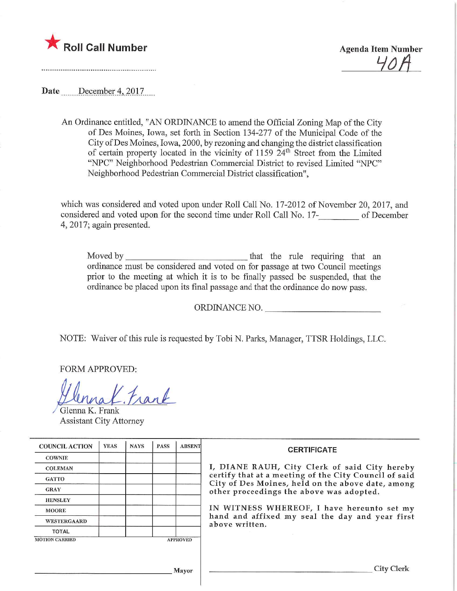



Date December 4, 2017

An Ordinance entitled, "AN ORDINANCE to amend the Official Zoning Map of the City of Des Moines, Iowa, set forth in Section 134-277 of the Municipal Code of the City ofDes Moines, Iowa, 2000, by rezoning and changing the district classification of certain property located in the vicinity of 1159 24th Street from the Limited "NPC" Neighborhood Pedestrian Commercial District to revised Limited "NPC" Neighborhood Pedestrian Commercial District classification",

which was considered and voted upon under Roll Call No. 17-2012 of November 20, 2017, and considered and voted upon for the second time under Roll Call No. 17- of December 4, 2017; again presented.

Moved by that the rule requiring that an ordinance must be considered and voted on for passage at two Council meetings prior to the meeting at which it is to be finally passed be suspended, that the ordinance be placed upon its fmal passage and that the ordinance do now pass.

ORDINANCE NO.

NOTE: Waiver of this rule is requested by Tobi N. Parks, Manager, TTSR Holdings, LLC.

FORM APPROVED:

Mat. Mar

Glenna K. Frank Assistant City Attorney

| <b>COUNCIL ACTION</b> | <b>YEAS</b> | <b>NAYS</b> | <b>PASS</b> | <b>ABSENT</b>   | <b>CERTIFICATE</b>                                                                                                                                                                                                                                                                                                         |
|-----------------------|-------------|-------------|-------------|-----------------|----------------------------------------------------------------------------------------------------------------------------------------------------------------------------------------------------------------------------------------------------------------------------------------------------------------------------|
| <b>COWNIE</b>         |             |             |             |                 |                                                                                                                                                                                                                                                                                                                            |
| <b>COLEMAN</b>        |             |             |             |                 | I, DIANE RAUH, City Clerk of said City hereby<br>certify that at a meeting of the City Council of said<br>City of Des Moines, held on the above date, among<br>other proceedings the above was adopted.<br>IN WITNESS WHEREOF, I have hereunto set my<br>hand and affixed my seal the day and year first<br>above written. |
| <b>GATTO</b>          |             |             |             |                 |                                                                                                                                                                                                                                                                                                                            |
| <b>GRAY</b>           |             |             |             |                 |                                                                                                                                                                                                                                                                                                                            |
| <b>HENSLEY</b>        |             |             |             |                 |                                                                                                                                                                                                                                                                                                                            |
| <b>MOORE</b>          |             |             |             |                 |                                                                                                                                                                                                                                                                                                                            |
| <b>WESTERGAARD</b>    |             |             |             |                 |                                                                                                                                                                                                                                                                                                                            |
| <b>TOTAL</b>          |             |             |             |                 |                                                                                                                                                                                                                                                                                                                            |
| <b>MOTION CARRIED</b> |             |             |             | <b>APPROVED</b> |                                                                                                                                                                                                                                                                                                                            |
| Mayor                 |             |             |             |                 | City                                                                                                                                                                                                                                                                                                                       |